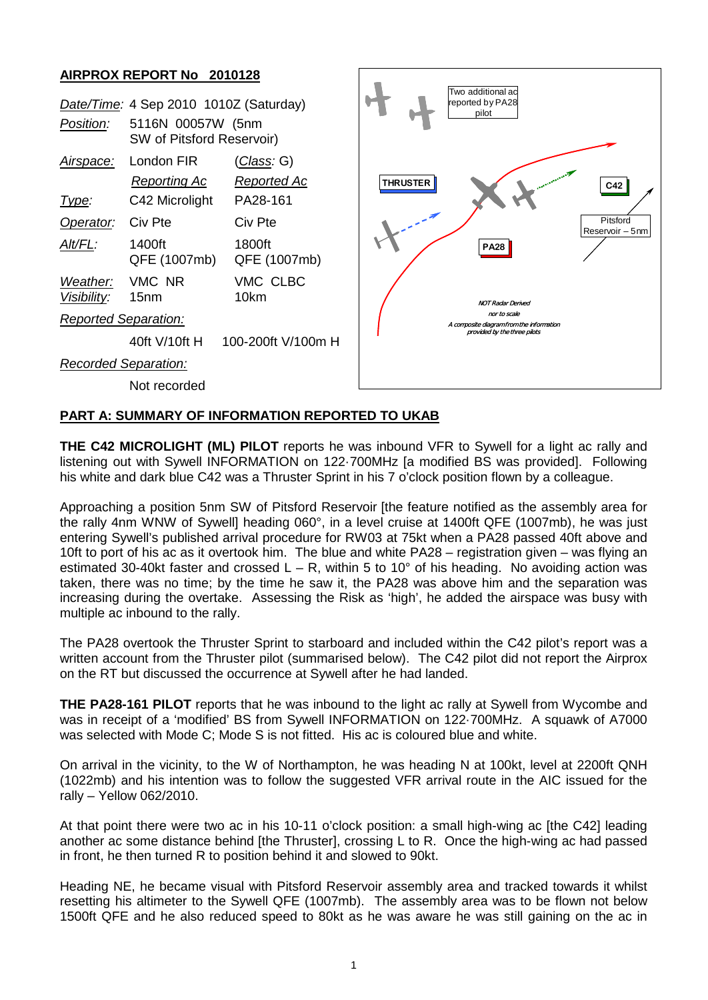## **AIRPROX REPORT No 2010128**

|                                                 | <b>NUMBER ON THE CITY OF AUTO LES</b>                                                    |                                                      |                          |                                                          |                             |
|-------------------------------------------------|------------------------------------------------------------------------------------------|------------------------------------------------------|--------------------------|----------------------------------------------------------|-----------------------------|
| Position:                                       | Date/Time: 4 Sep 2010 1010Z (Saturday)<br>5116N 00057W (5nm<br>SW of Pitsford Reservoir) |                                                      |                          | Two additional ad<br>reported by PA28<br>pilot           |                             |
| <u>Airspace:</u><br><u>Type:</u>                | London FIR<br><b>Reporting Ac</b><br>C42 Microlight                                      | <u>(Class</u> : G)<br><u>Reported Ac</u><br>PA28-161 | <b>THRUSTER</b>          |                                                          | C42                         |
| Operator:                                       | Civ Pte                                                                                  | Civ Pte                                              |                          |                                                          | Pitsford<br>Reservoir - 5nm |
| Alt/FL:                                         | 1400ft<br>QFE (1007mb)                                                                   | 1800ft<br>QFE (1007mb)                               |                          | <b>PA28</b>                                              |                             |
| Weather:<br>Visibility:                         | VMC NR<br>15 <sub>nm</sub>                                                               | VMC CLBC<br>10km                                     | <b>NOT Radar Derived</b> |                                                          |                             |
| <b>Reported Separation:</b>                     |                                                                                          |                                                      |                          | nor to scale<br>A composite diagram from the information |                             |
|                                                 | 40ft V/10ft H                                                                            | 100-200ft V/100m H                                   |                          | provided by the three pilots                             |                             |
| <b>Recorded Separation:</b>                     |                                                                                          |                                                      |                          |                                                          |                             |
|                                                 | Not recorded                                                                             |                                                      |                          |                                                          |                             |
| PART A: SUMMARY OF INFORMATION REPORTED TO UKAB |                                                                                          |                                                      |                          |                                                          |                             |

**THE C42 MICROLIGHT (ML) PILOT** reports he was inbound VFR to Sywell for a light ac rally and listening out with Sywell INFORMATION on 122·700MHz [a modified BS was provided]. Following his white and dark blue C42 was a Thruster Sprint in his 7 o'clock position flown by a colleague.

Approaching a position 5nm SW of Pitsford Reservoir [the feature notified as the assembly area for the rally 4nm WNW of Sywell] heading 060°, in a level cruise at 1400ft QFE (1007mb), he was just entering Sywell's published arrival procedure for RW03 at 75kt when a PA28 passed 40ft above and 10ft to port of his ac as it overtook him. The blue and white PA28 – registration given – was flying an estimated 30-40kt faster and crossed  $L - R$ , within 5 to 10° of his heading. No avoiding action was taken, there was no time; by the time he saw it, the PA28 was above him and the separation was increasing during the overtake. Assessing the Risk as 'high', he added the airspace was busy with multiple ac inbound to the rally.

The PA28 overtook the Thruster Sprint to starboard and included within the C42 pilot's report was a written account from the Thruster pilot (summarised below). The C42 pilot did not report the Airprox on the RT but discussed the occurrence at Sywell after he had landed.

**THE PA28-161 PILOT** reports that he was inbound to the light ac rally at Sywell from Wycombe and was in receipt of a 'modified' BS from Sywell INFORMATION on 122·700MHz. A squawk of A7000 was selected with Mode C; Mode S is not fitted. His ac is coloured blue and white.

On arrival in the vicinity, to the W of Northampton, he was heading N at 100kt, level at 2200ft QNH (1022mb) and his intention was to follow the suggested VFR arrival route in the AIC issued for the rally – Yellow 062/2010.

At that point there were two ac in his 10-11 o'clock position: a small high-wing ac [the C42] leading another ac some distance behind [the Thruster], crossing L to R. Once the high-wing ac had passed in front, he then turned R to position behind it and slowed to 90kt.

Heading NE, he became visual with Pitsford Reservoir assembly area and tracked towards it whilst resetting his altimeter to the Sywell QFE (1007mb). The assembly area was to be flown not below 1500ft QFE and he also reduced speed to 80kt as he was aware he was still gaining on the ac in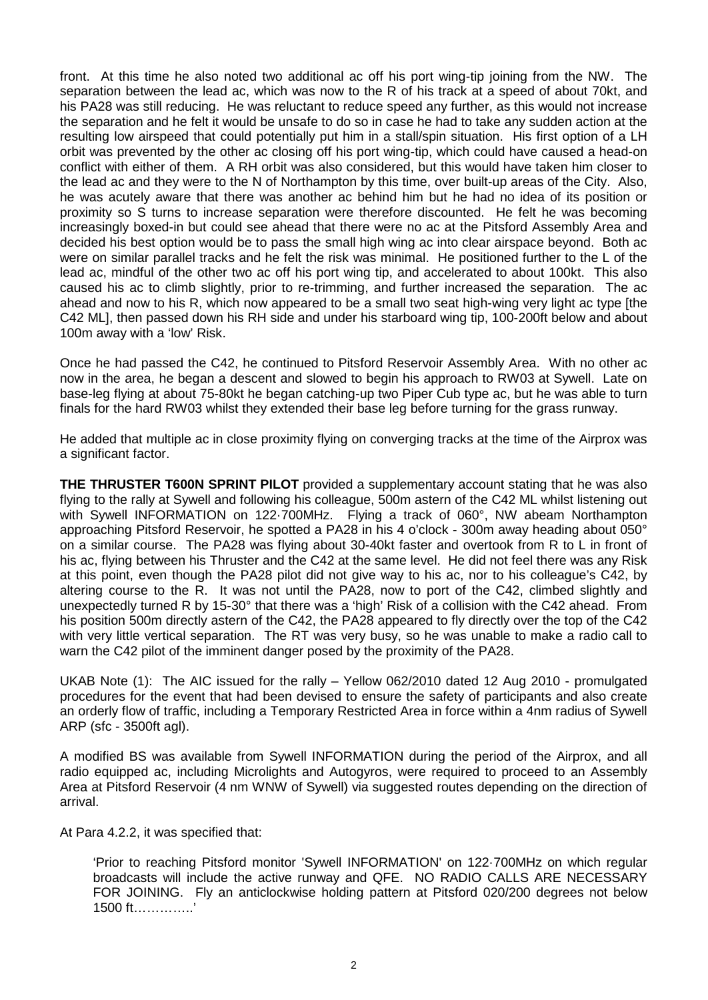front. At this time he also noted two additional ac off his port wing-tip joining from the NW. The separation between the lead ac, which was now to the R of his track at a speed of about 70kt, and his PA28 was still reducing. He was reluctant to reduce speed any further, as this would not increase the separation and he felt it would be unsafe to do so in case he had to take any sudden action at the resulting low airspeed that could potentially put him in a stall/spin situation. His first option of a LH orbit was prevented by the other ac closing off his port wing-tip, which could have caused a head-on conflict with either of them. A RH orbit was also considered, but this would have taken him closer to the lead ac and they were to the N of Northampton by this time, over built-up areas of the City. Also, he was acutely aware that there was another ac behind him but he had no idea of its position or proximity so S turns to increase separation were therefore discounted. He felt he was becoming increasingly boxed-in but could see ahead that there were no ac at the Pitsford Assembly Area and decided his best option would be to pass the small high wing ac into clear airspace beyond. Both ac were on similar parallel tracks and he felt the risk was minimal. He positioned further to the L of the lead ac, mindful of the other two ac off his port wing tip, and accelerated to about 100kt. This also caused his ac to climb slightly, prior to re-trimming, and further increased the separation. The ac ahead and now to his R, which now appeared to be a small two seat high-wing very light ac type [the C42 ML], then passed down his RH side and under his starboard wing tip, 100-200ft below and about 100m away with a 'low' Risk.

Once he had passed the C42, he continued to Pitsford Reservoir Assembly Area. With no other ac now in the area, he began a descent and slowed to begin his approach to RW03 at Sywell. Late on base-leg flying at about 75-80kt he began catching-up two Piper Cub type ac, but he was able to turn finals for the hard RW03 whilst they extended their base leg before turning for the grass runway.

He added that multiple ac in close proximity flying on converging tracks at the time of the Airprox was a significant factor.

**THE THRUSTER T600N SPRINT PILOT** provided a supplementary account stating that he was also flying to the rally at Sywell and following his colleague, 500m astern of the C42 ML whilst listening out with Sywell INFORMATION on 122·700MHz. Flying a track of 060°, NW abeam Northampton approaching Pitsford Reservoir, he spotted a PA28 in his 4 o'clock - 300m away heading about 050° on a similar course. The PA28 was flying about 30-40kt faster and overtook from R to L in front of his ac, flying between his Thruster and the C42 at the same level. He did not feel there was any Risk at this point, even though the PA28 pilot did not give way to his ac, nor to his colleague's C42, by altering course to the R. It was not until the PA28, now to port of the C42, climbed slightly and unexpectedly turned R by 15-30° that there was a 'high' Risk of a collision with the C42 ahead. From his position 500m directly astern of the C42, the PA28 appeared to fly directly over the top of the C42 with very little vertical separation. The RT was very busy, so he was unable to make a radio call to warn the C42 pilot of the imminent danger posed by the proximity of the PA28.

UKAB Note (1): The AIC issued for the rally – Yellow 062/2010 dated 12 Aug 2010 - promulgated procedures for the event that had been devised to ensure the safety of participants and also create an orderly flow of traffic, including a Temporary Restricted Area in force within a 4nm radius of Sywell ARP (sfc - 3500ft agl).

A modified BS was available from Sywell INFORMATION during the period of the Airprox, and all radio equipped ac, including Microlights and Autogyros, were required to proceed to an Assembly Area at Pitsford Reservoir (4 nm WNW of Sywell) via suggested routes depending on the direction of arrival.

At Para 4.2.2, it was specified that:

'Prior to reaching Pitsford monitor 'Sywell INFORMATION' on 122·700MHz on which regular broadcasts will include the active runway and QFE. NO RADIO CALLS ARE NECESSARY FOR JOINING. Fly an anticlockwise holding pattern at Pitsford 020/200 degrees not below 1500 ft…………..'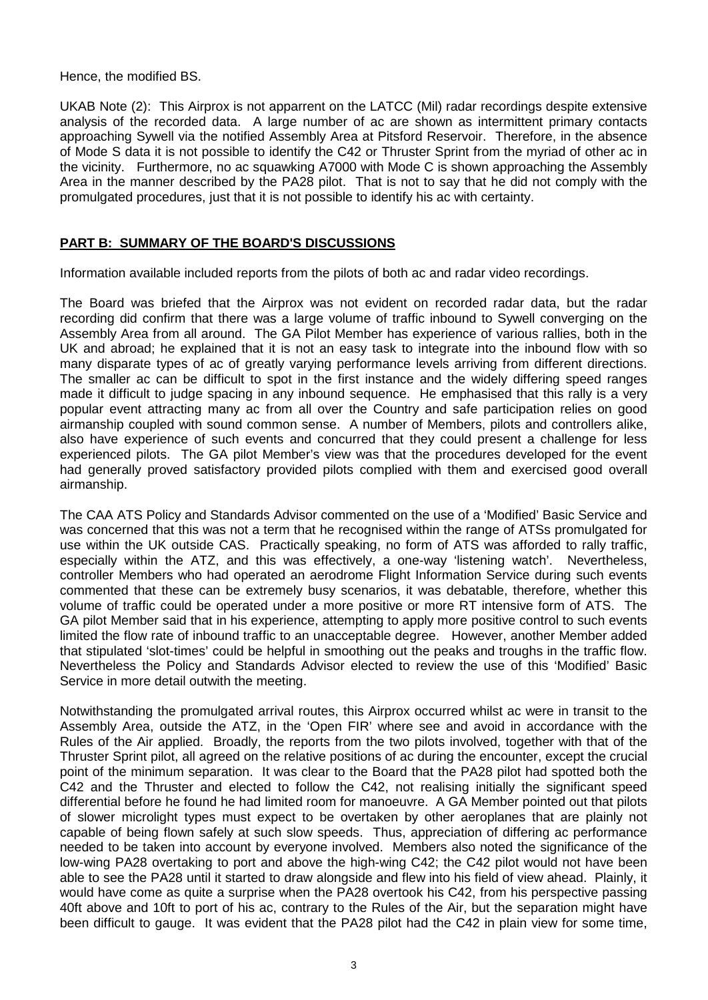Hence, the modified BS.

UKAB Note (2): This Airprox is not apparrent on the LATCC (Mil) radar recordings despite extensive analysis of the recorded data. A large number of ac are shown as intermittent primary contacts approaching Sywell via the notified Assembly Area at Pitsford Reservoir. Therefore, in the absence of Mode S data it is not possible to identify the C42 or Thruster Sprint from the myriad of other ac in the vicinity. Furthermore, no ac squawking A7000 with Mode C is shown approaching the Assembly Area in the manner described by the PA28 pilot. That is not to say that he did not comply with the promulgated procedures, just that it is not possible to identify his ac with certainty.

## **PART B: SUMMARY OF THE BOARD'S DISCUSSIONS**

Information available included reports from the pilots of both ac and radar video recordings.

The Board was briefed that the Airprox was not evident on recorded radar data, but the radar recording did confirm that there was a large volume of traffic inbound to Sywell converging on the Assembly Area from all around. The GA Pilot Member has experience of various rallies, both in the UK and abroad; he explained that it is not an easy task to integrate into the inbound flow with so many disparate types of ac of greatly varying performance levels arriving from different directions. The smaller ac can be difficult to spot in the first instance and the widely differing speed ranges made it difficult to judge spacing in any inbound sequence. He emphasised that this rally is a very popular event attracting many ac from all over the Country and safe participation relies on good airmanship coupled with sound common sense. A number of Members, pilots and controllers alike, also have experience of such events and concurred that they could present a challenge for less experienced pilots. The GA pilot Member's view was that the procedures developed for the event had generally proved satisfactory provided pilots complied with them and exercised good overall airmanship.

The CAA ATS Policy and Standards Advisor commented on the use of a 'Modified' Basic Service and was concerned that this was not a term that he recognised within the range of ATSs promulgated for use within the UK outside CAS. Practically speaking, no form of ATS was afforded to rally traffic, especially within the ATZ, and this was effectively, a one-way 'listening watch'. Nevertheless, controller Members who had operated an aerodrome Flight Information Service during such events commented that these can be extremely busy scenarios, it was debatable, therefore, whether this volume of traffic could be operated under a more positive or more RT intensive form of ATS. The GA pilot Member said that in his experience, attempting to apply more positive control to such events limited the flow rate of inbound traffic to an unacceptable degree. However, another Member added that stipulated 'slot-times' could be helpful in smoothing out the peaks and troughs in the traffic flow. Nevertheless the Policy and Standards Advisor elected to review the use of this 'Modified' Basic Service in more detail outwith the meeting.

Notwithstanding the promulgated arrival routes, this Airprox occurred whilst ac were in transit to the Assembly Area, outside the ATZ, in the 'Open FIR' where see and avoid in accordance with the Rules of the Air applied. Broadly, the reports from the two pilots involved, together with that of the Thruster Sprint pilot, all agreed on the relative positions of ac during the encounter, except the crucial point of the minimum separation. It was clear to the Board that the PA28 pilot had spotted both the C42 and the Thruster and elected to follow the C42, not realising initially the significant speed differential before he found he had limited room for manoeuvre. A GA Member pointed out that pilots of slower microlight types must expect to be overtaken by other aeroplanes that are plainly not capable of being flown safely at such slow speeds. Thus, appreciation of differing ac performance needed to be taken into account by everyone involved. Members also noted the significance of the low-wing PA28 overtaking to port and above the high-wing C42; the C42 pilot would not have been able to see the PA28 until it started to draw alongside and flew into his field of view ahead. Plainly, it would have come as quite a surprise when the PA28 overtook his C42, from his perspective passing 40ft above and 10ft to port of his ac, contrary to the Rules of the Air, but the separation might have been difficult to gauge. It was evident that the PA28 pilot had the C42 in plain view for some time,